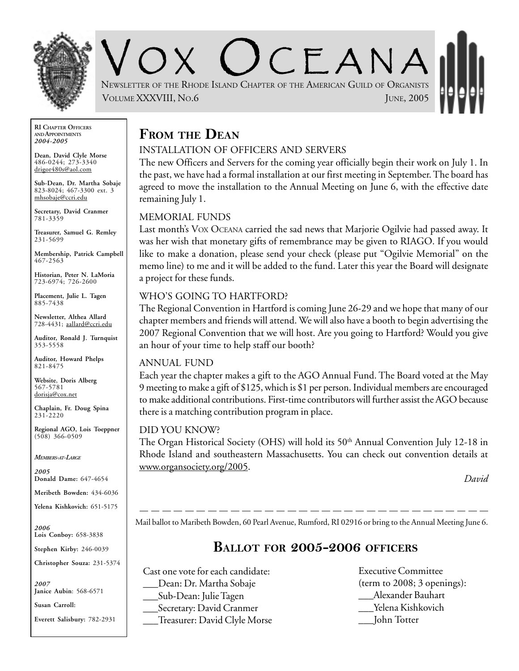

CEANA NEWSLETTER OF THE RHODE ISLAND CHAPTER OF THE AMERICAN GUILD OF ORGANISTS VOLUME XXXVIII, NO.6 JUNE, 2005

**RI CHAPTER OFFICERS AND APPOINTMENTS** *2004-2005*

**Dean, David Clyle Morse** 486-0244; 273-3340 drigor480s@aol.com

**Sub-Dean, Dr. Martha Sobaje** 823-8024; 467-3300 ext. 3 mhsobaje@ccri.edu

**Secretary, David Cranmer** 781-3359

**Treasurer, Samuel G. Remley** 231-5699

**Membership, Patrick Campbell** 467-2563

**Historian, Peter N. LaMoria** 723-6974; 726-2600

**Placement, Julie L. Tagen** 885-7438

**Newsletter, Althea Allard** 728-4431; aallard@ccri.edu

**Auditor, Ronald J. Turnquist** 353-5558

**Auditor, Howard Phelps** 821-8475

**Website**, **Doris Alberg** 567-5781 dorisja@cox.net

**Chaplain, Fr. Doug Spina** 231-2220

**Regional AGO, Lois Toeppner**  $(508)$  366-0509

*MEMBERS-AT-LARGE*

*2005* **Donald Dame:** 647-4654

**Meribeth Bowden:** 434-6036

**Yelena Kishkovich:** 651-5175

*2006* **Lois Conboy:** 658-3838

**Stephen Kirby:** 246-0039

**Christopher Souza:** 231-5374

*2007* **Janice Aubin**: 568-6571

**Susan Carroll:**

**Everett Salisbury:** 782-2931

# **FROM THE DEAN**

### INSTALLATION OF OFFICERS AND SERVERS

The new Officers and Servers for the coming year officially begin their work on July 1. In the past, we have had a formal installation at our first meeting in September. The board has agreed to move the installation to the Annual Meeting on June 6, with the effective date remaining July 1.

### MEMORIAL FUNDS

Last month's VOX OCEANA carried the sad news that Marjorie Ogilvie had passed away. It was her wish that monetary gifts of remembrance may be given to RIAGO. If you would like to make a donation, please send your check (please put "Ogilvie Memorial" on the memo line) to me and it will be added to the fund. Later this year the Board will designate a project for these funds.

### WHO'S GOING TO HARTFORD?

The Regional Convention in Hartford is coming June 26-29 and we hope that many of our chapter members and friends will attend. We will also have a booth to begin advertising the 2007 Regional Convention that we will host. Are you going to Hartford? Would you give an hour of your time to help staff our booth?

#### ANNUAL FUND

Each year the chapter makes a gift to the AGO Annual Fund. The Board voted at the May 9 meeting to make a gift of \$125, which is \$1 per person. Individual members are encouraged to make additional contributions. First-time contributors will further assist the AGO because there is a matching contribution program in place.

#### DID YOU KNOW?

The Organ Historical Society (OHS) will hold its  $50<sup>th</sup>$  Annual Convention July 12-18 in Rhode Island and southeastern Massachusetts. You can check out convention details at www.organsociety.org/2005.

*David*

Mail ballot to Maribeth Bowden, 60 Pearl Avenue, Rumford, RI 02916 or bring to the Annual Meeting June 6.

## **BALLOT FOR 2005-2006 OFFICERS**

Cast one vote for each candidate: \_\_\_Dean: Dr. Martha Sobaje \_\_\_Sub-Dean: Julie Tagen Secretary: David Cranmer \_\_\_Treasurer: David Clyle Morse Executive Committee (term to 2008; 3 openings): \_\_\_Alexander Bauhart \_\_\_Yelena Kishkovich \_\_\_John Totter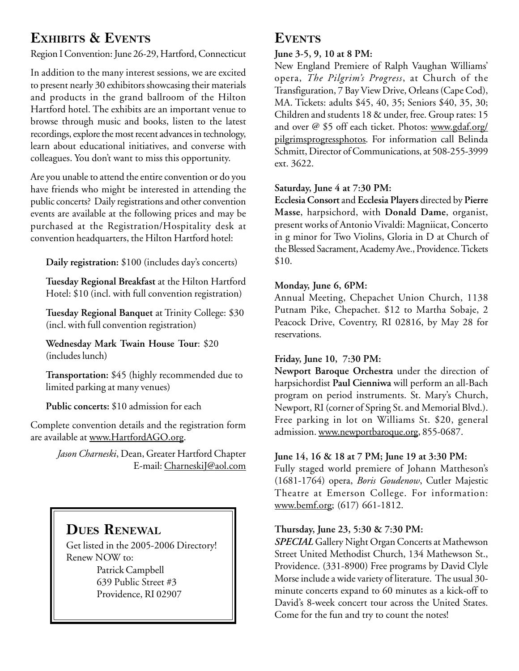# **EXHIBITS & EVENTS**

Region I Convention: June 26-29, Hartford, Connecticut

In addition to the many interest sessions, we are excited to present nearly 30 exhibitors showcasing their materials and products in the grand ballroom of the Hilton Hartford hotel. The exhibits are an important venue to browse through music and books, listen to the latest recordings, explore the most recent advances in technology, learn about educational initiatives, and converse with colleagues. You don't want to miss this opportunity.

Are you unable to attend the entire convention or do you have friends who might be interested in attending the public concerts? Daily registrations and other convention events are available at the following prices and may be purchased at the Registration/Hospitality desk at convention headquarters, the Hilton Hartford hotel:

**Daily registration:** \$100 (includes day's concerts)

**Tuesday Regional Breakfast** at the Hilton Hartford Hotel: \$10 (incl. with full convention registration)

**Tuesday Regional Banquet** at Trinity College: \$30 (incl. with full convention registration)

**Wednesday Mark Twain House Tour**: \$20 (includes lunch)

**Transportation:** \$45 (highly recommended due to limited parking at many venues)

**Public concerts:** \$10 admission for each

Complete convention details and the registration form are available at www.HartfordAGO.org.

> *Jason Charneski*, Dean, Greater Hartford Chapter E-mail: CharneskiJ@aol.com

## **DUES RENEWAL**

Get listed in the 2005-2006 Directory! Renew NOW to: Patrick Campbell 639 Public Street #3 Providence, RI 02907

## **EVENTS**

### **June 3-5, 9, 10 at 8 PM:**

New England Premiere of Ralph Vaughan Williams' opera, *The Pilgrim's Progress*, at Church of the Transfiguration, 7 Bay View Drive, Orleans (Cape Cod), MA. Tickets: adults \$45, 40, 35; Seniors \$40, 35, 30; Children and students 18 & under, free. Group rates: 15 and over @ \$5 off each ticket. Photos: www.gdaf.org/ pilgrimsprogressphotos. For information call Belinda Schmitt, Director of Communications, at 508-255-3999 ext. 3622.

#### **Saturday, June 4 at 7:30 PM:**

**Ecclesia Consort** and **Ecclesia Players** directed by **Pierre Masse**, harpsichord, with **Donald Dame**, organist, present works of Antonio Vivaldi: Magniicat, Concerto in g minor for Two Violins, Gloria in D at Church of the Blessed Sacrament, Academy Ave., Providence. Tickets \$10.

### **Monday, June 6, 6PM:**

Annual Meeting, Chepachet Union Church, 1138 Putnam Pike, Chepachet. \$12 to Martha Sobaje, 2 Peacock Drive, Coventry, RI 02816, by May 28 for reservations.

### **Friday, June 10, 7:30 PM:**

**Newport Baroque Orchestra** under the direction of harpsichordist **Paul Cienniwa** will perform an all-Bach program on period instruments. St. Mary's Church, Newport, RI (corner of Spring St. and Memorial Blvd.). Free parking in lot on Williams St. \$20, general admission. www.newportbaroque.org, 855-0687.

#### **June 14, 16 & 18 at 7 PM; June 19 at 3:30 PM:**

Fully staged world premiere of Johann Mattheson's (1681-1764) opera, *Boris Goudenow*, Cutler Majestic Theatre at Emerson College. For information: www.bemf.org; (617) 661-1812.

### **Thursday, June 23, 5:30 & 7:30 PM:**

*SPECIAL* Gallery Night Organ Concerts at Mathewson Street United Methodist Church, 134 Mathewson St., Providence. (331-8900) Free programs by David Clyle Morse include a wide variety of literature. The usual 30 minute concerts expand to 60 minutes as a kick-off to David's 8-week concert tour across the United States. Come for the fun and try to count the notes!